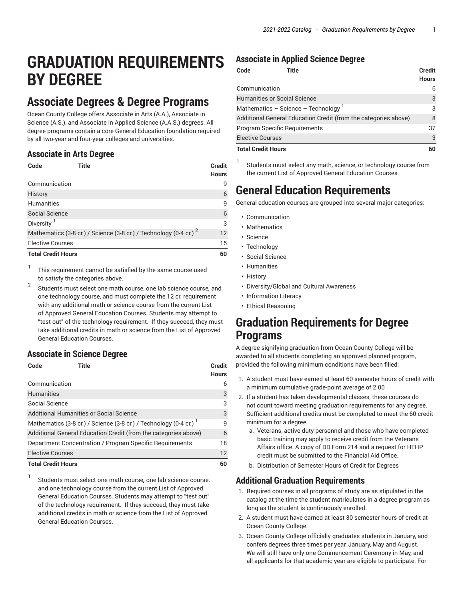# **GRADUATION REQUIREMENTS BY DEGREE**

### **Associate Degrees & Degree Programs**

Ocean County College offers Associate in Arts (A.A.), Associate in Science (A.S.), and Associate in Applied Science (A.A.S.) degrees. All degree programs contain a core General Education foundation required by all two-year and four-year colleges and universities.

#### **Associate in Arts Degree**

| Code                                                                          | Title | <b>Credit</b><br><b>Hours</b> |
|-------------------------------------------------------------------------------|-------|-------------------------------|
| Communication                                                                 |       | 9                             |
| History                                                                       |       | 6                             |
| Humanities                                                                    |       | 9                             |
| <b>Social Science</b>                                                         |       | 6                             |
| Diversity <sup>1</sup>                                                        |       | 3                             |
| Mathematics (3-8 cr.) / Science (3-8 cr.) / Technology (0-4 cr.) <sup>2</sup> |       |                               |
| <b>Elective Courses</b>                                                       |       |                               |
| <b>Total Credit Hours</b>                                                     |       | 60                            |

1 This requirement cannot be satisfied by the same course used to satisfy the categories above.

2 Students must select one math course, one lab science course*,* and one technology course, and must complete the 12 cr. requirement with any additional math or science course from the current List of Approved General Education Courses. Students may attempt to "test out" of the technology requirement. If they succeed, they must take additional credits in math or science from the List of Approved General Education Courses.

#### **Associate in Science Degree**

| Code                                                     | Title                                                            | <b>Credit</b><br><b>Hours</b> |
|----------------------------------------------------------|------------------------------------------------------------------|-------------------------------|
| Communication                                            |                                                                  | 6                             |
| <b>Humanities</b>                                        |                                                                  | 3                             |
| Social Science                                           |                                                                  | 3                             |
| Additional Humanities or Social Science                  |                                                                  |                               |
|                                                          | Mathematics (3-8 cr.) / Science (3-8 cr.) / Technology (0-4 cr.) | q                             |
|                                                          | Additional General Education Credit (from the categories above)  | 6                             |
| Department Concentration / Program Specific Requirements |                                                                  | 18                            |
| <b>Elective Courses</b>                                  |                                                                  |                               |
| <b>Total Credit Hours</b>                                |                                                                  | 60                            |

1 Students must select one math course*,* one lab science course, and one technology course from the current List of Approved General Education Courses. Students may attempt to "test out" of the technology requirement. If they succeed, they must take additional credits in math or science from the List of Approved General Education Courses.

#### **Associate in Applied Science Degree**

| Code<br>Title                        |                                                                 | <b>Credit</b><br><b>Hours</b> |
|--------------------------------------|-----------------------------------------------------------------|-------------------------------|
| Communication                        |                                                                 | 6                             |
| <b>Humanities or Social Science</b>  |                                                                 | 3                             |
| Mathematics - Science - Technology   |                                                                 | 3                             |
|                                      | Additional General Education Credit (from the categories above) | 8                             |
| <b>Program Specific Requirements</b> |                                                                 | 37                            |
| <b>Elective Courses</b>              |                                                                 | 3                             |
| <b>Total Credit Hours</b>            |                                                                 | 60                            |

1 Students must select any math, science, or technology course from the current List of Approved General Education Courses.

## **General Education Requirements**

General education courses are grouped into several major categories:

- Communication
- Mathematics
- Science
- Technology
- Social Science
- Humanities
- History
- Diversity/Global and Cultural Awareness
- Information Literacy
- Ethical Reasoning

### **Graduation Requirements for Degree Programs**

A degree signifying graduation from Ocean County College will be awarded to all students completing an approved planned program, provided the following minimum conditions have been filled:

- 1. A student must have earned at least 60 semester hours of credit with a minimum cumulative grade-point average of 2.00
- 2. If a student has taken developmental classes, these courses do not count toward meeting graduation requirements for any degree. Sufficient additional credits must be completed to meet the 60 credit minimum for a degree.
	- a. Veterans, active duty personnel and those who have completed basic training may apply to receive credit from the Veterans Affairs office. A copy of DD Form 214 and a request for HEHP credit must be submitted to the Financial Aid Office.
	- b. Distribution of Semester Hours of Credit for Degrees

### **Additional Graduation Requirements**

- 1. Required courses in all programs of study are as stipulated in the catalog at the time the student matriculates in a degree program as long as the student is continuously enrolled.
- 2. A student must have earned at least 30 semester hours of credit at Ocean County College.
- 3. Ocean County College officially graduates students in January, and confers degrees three times per year: January, May and August. We will still have only one Commencement Ceremony in May, and all applicants for that academic year are eligible to participate. For